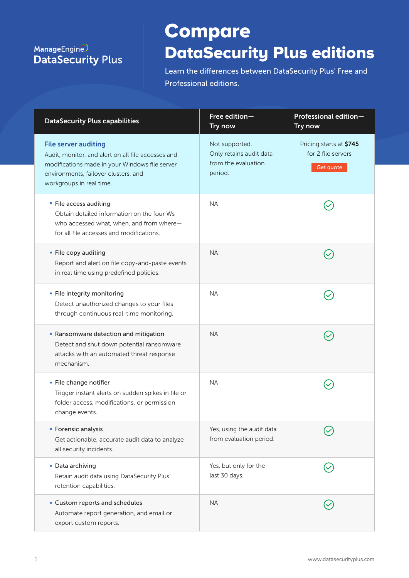## ManageEngine **DataSecurity Plus**

## **Compare** DataSecurity Plus editions

Learn the differences between DataSecurity Plus' Free and Professional editions.

| <b>DataSecurity Plus capabilities</b>                                                                                                                                                                   | Free edition-<br>Try now                                                    | Professional edition-<br>Try now                           |
|---------------------------------------------------------------------------------------------------------------------------------------------------------------------------------------------------------|-----------------------------------------------------------------------------|------------------------------------------------------------|
| <b>File server auditing</b><br>Audit, monitor, and alert on all file accesses and<br>modifications made in your Windows file server<br>environments, failover clusters, and<br>workgroups in real time. | Not supported.<br>Only retains audit data<br>from the evaluation<br>period. | Pricing starts at \$745<br>for 2 file servers<br>Get quote |
| • File access auditing<br>Obtain detailed information on the four Ws-<br>who accessed what, when, and from where-<br>for all file accesses and modifications.                                           | <b>NA</b>                                                                   |                                                            |
| • File copy auditing<br>Report and alert on file copy-and-paste events<br>in real time using predefined policies.                                                                                       | <b>NA</b>                                                                   |                                                            |
| • File integrity monitoring<br>Detect unauthorized changes to your files<br>through continuous real-time monitoring.                                                                                    | <b>NA</b>                                                                   |                                                            |
| • Ransomware detection and mitigation<br>Detect and shut down potential ransomware<br>attacks with an automated threat response<br>mechanism.                                                           | <b>NA</b>                                                                   |                                                            |
| • File change notifier<br>Trigger instant alerts on sudden spikes in file or<br>folder access, modifications, or permission<br>change events.                                                           | <b>NA</b>                                                                   |                                                            |
| • Forensic analysis<br>Get actionable, accurate audit data to analyze<br>all security incidents.                                                                                                        | Yes, using the audit data<br>from evaluation period.                        |                                                            |
| • Data archiving<br>Retain audit data using DataSecurity Plus'<br>retention capabilities.                                                                                                               | Yes, but only for the<br>last 30 days.                                      |                                                            |
| • Custom reports and schedules<br>Automate report generation, and email or<br>export custom reports.                                                                                                    | <b>NA</b>                                                                   |                                                            |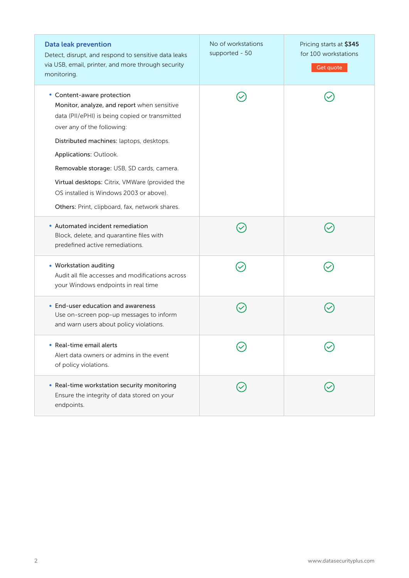| <b>Data leak prevention</b><br>Detect, disrupt, and respond to sensitive data leaks<br>via USB, email, printer, and more through security<br>monitoring.                                                                                                                                                                                                                                                                    | No of workstations<br>supported - 50 | Pricing starts at \$345<br>for 100 workstations<br>Get quote |
|-----------------------------------------------------------------------------------------------------------------------------------------------------------------------------------------------------------------------------------------------------------------------------------------------------------------------------------------------------------------------------------------------------------------------------|--------------------------------------|--------------------------------------------------------------|
| • Content-aware protection<br>Monitor, analyze, and report when sensitive<br>data (PII/ePHI) is being copied or transmitted<br>over any of the following:<br>Distributed machines: laptops, desktops.<br>Applications: Outlook.<br>Removable storage: USB, SD cards, camera.<br>Virtual desktops: Citrix, VMWare (provided the<br>OS installed is Windows 2003 or above).<br>Others: Print, clipboard, fax, network shares. |                                      |                                                              |
| • Automated incident remediation<br>Block, delete, and quarantine files with<br>predefined active remediations.                                                                                                                                                                                                                                                                                                             |                                      |                                                              |
| • Workstation auditing<br>Audit all file accesses and modifications across<br>your Windows endpoints in real time                                                                                                                                                                                                                                                                                                           |                                      |                                                              |
| • End-user education and awareness<br>Use on-screen pop-up messages to inform<br>and warn users about policy violations.                                                                                                                                                                                                                                                                                                    |                                      |                                                              |
| Real-time email alerts<br>Alert data owners or admins in the event<br>of policy violations.                                                                                                                                                                                                                                                                                                                                 |                                      |                                                              |
| • Real-time workstation security monitoring<br>Ensure the integrity of data stored on your<br>endpoints.                                                                                                                                                                                                                                                                                                                    |                                      |                                                              |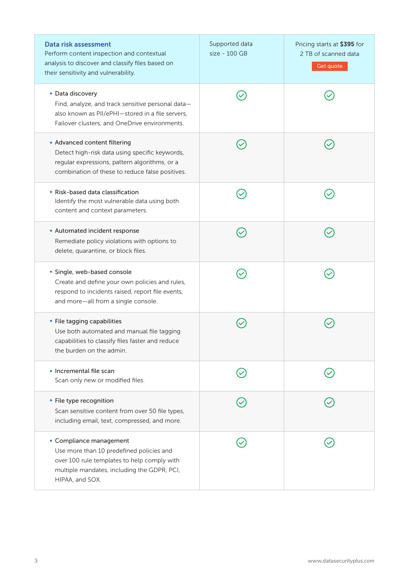| Data risk assessment<br>Perform content inspection and contextual<br>analysis to discover and classify files based on<br>their sensitivity and vulnerability.                        | Supported data<br>size - 100 GB | Pricing starts at \$395 for<br>2 TB of scanned data<br>Get quote |
|--------------------------------------------------------------------------------------------------------------------------------------------------------------------------------------|---------------------------------|------------------------------------------------------------------|
| • Data discovery<br>Find, analyze, and track sensitive personal data-<br>also known as PII/ePHI-stored in a file servers,<br>Failover clusters, and OneDrive environments.           |                                 |                                                                  |
| • Advanced content filtering<br>Detect high-risk data using specific keywords,<br>regular expressions, pattern algorithms, or a<br>combination of these to reduce false positives.   |                                 |                                                                  |
| • Risk-based data classification<br>Identify the most vulnerable data using both<br>content and context parameters.                                                                  |                                 |                                                                  |
| • Automated incident response<br>Remediate policy violations with options to<br>delete, quarantine, or block files.                                                                  |                                 |                                                                  |
| · Single, web-based console<br>Create and define your own policies and rules,<br>respond to incidents raised, report file events,<br>and more-all from a single console.             |                                 |                                                                  |
| • File tagging capabilities<br>Use both automated and manual file tagging<br>capabilities to classify files faster and reduce<br>the burden on the admin.                            |                                 |                                                                  |
| · Incremental file scan<br>Scan only new or modified files.                                                                                                                          |                                 |                                                                  |
| • File type recognition<br>Scan sensitive content from over 50 file types,<br>including email, text, compressed, and more.                                                           |                                 |                                                                  |
| • Compliance management<br>Use more than 10 predefined policies and<br>over 100 rule templates to help comply with<br>multiple mandates, including the GDPR, PCI,<br>HIPAA, and SOX. |                                 |                                                                  |